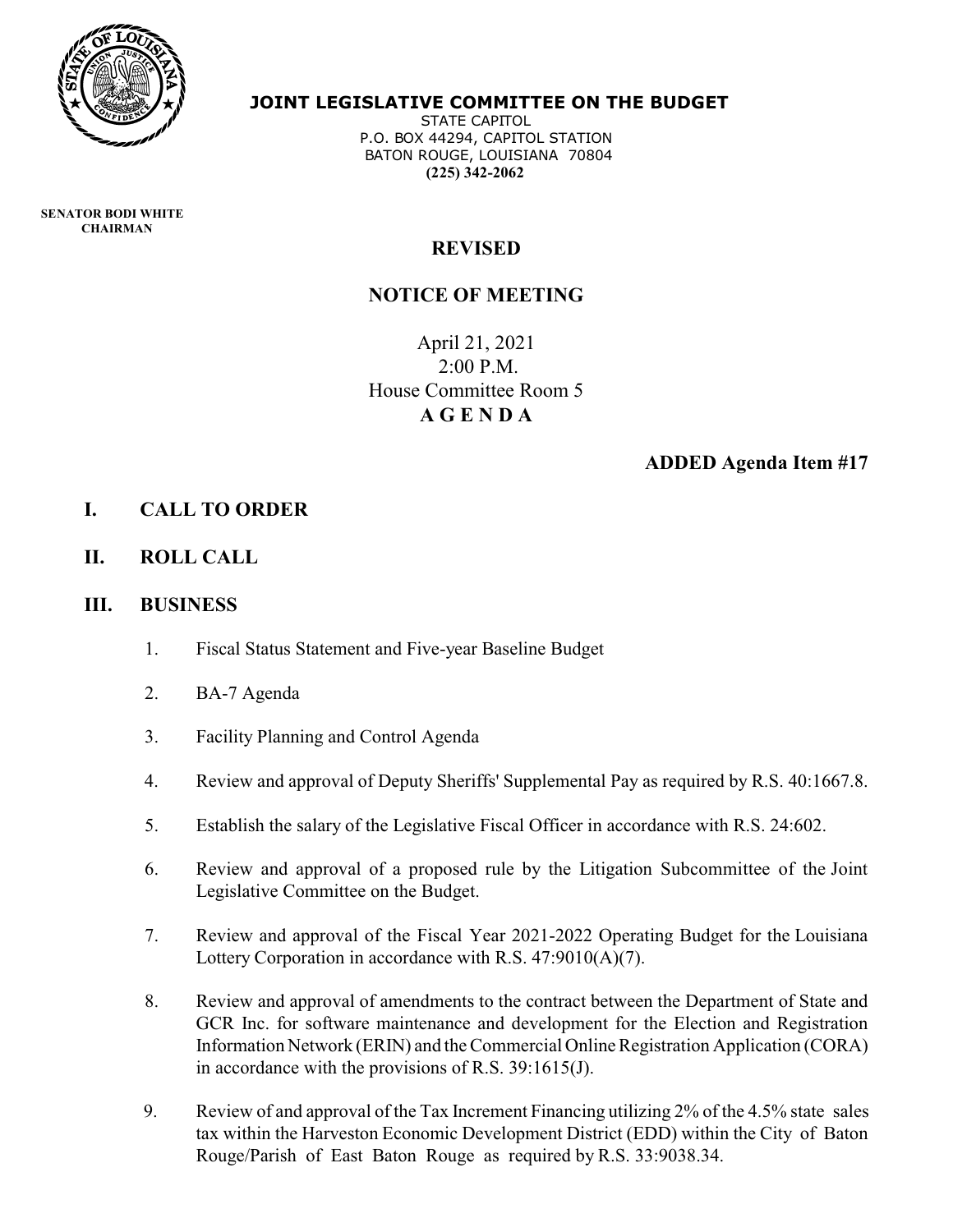

#### **JOINT LEGISLATIVE COMMITTEE ON THE BUDGET**

 STATE CAPITOL P.O. BOX 44294, CAPITOL STATION BATON ROUGE, LOUISIANA 70804  **(225) 342-2062**

 **SENATOR BODI WHITE CHAIRMAN** 

## **REVISED**

### **NOTICE OF MEETING**

April 21, 2021 2:00 P.M. House Committee Room 5 **A G E N D A**

#### **ADDED Agenda Item #17**

### **I. CALL TO ORDER**

**II. ROLL CALL**

#### **III. BUSINESS**

- 1. Fiscal Status Statement and Five-year Baseline Budget
- 2. BA-7 Agenda
- 3. Facility Planning and Control Agenda
- 4. Review and approval of Deputy Sheriffs' Supplemental Pay as required by R.S. 40:1667.8.
- 5. Establish the salary of the Legislative Fiscal Officer in accordance with R.S. 24:602.
- 6. Review and approval of a proposed rule by the Litigation Subcommittee of the Joint Legislative Committee on the Budget.
- 7. Review and approval of the Fiscal Year 2021-2022 Operating Budget for the Louisiana Lottery Corporation in accordance with R.S. 47:9010(A)(7).
- 8. Review and approval of amendments to the contract between the Department of State and GCR Inc. for software maintenance and development for the Election and Registration Information Network (ERIN) and the Commercial Online Registration Application (CORA) in accordance with the provisions of R.S. 39:1615(J).
- 9. Review of and approval of the Tax Increment Financing utilizing 2% of the 4.5% state sales tax within the Harveston Economic Development District (EDD) within the City of Baton Rouge/Parish of East Baton Rouge as required by R.S. 33:9038.34.